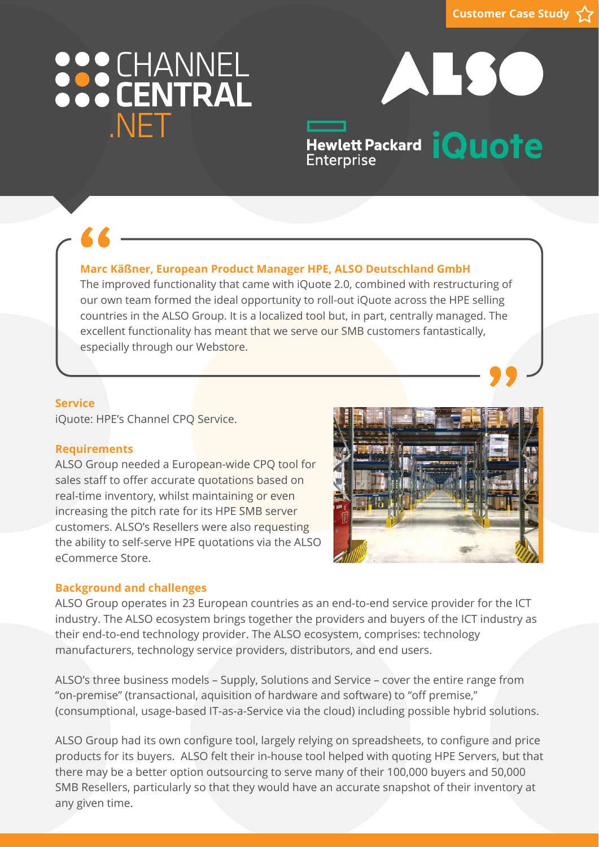## 888 CHANNEL NFT

# ALSC

Hewlett Packard **iQuote** Enterprise

## **Marc Käßner, European Product Manager HPE, ALSO Deutschland GmbH**

The improved functionality that came with iQuote 2.0, combined with restructuring of<br>The improved functionality that came with iQuote 2.0, combined with restructuring of our own team formed the ideal opportunity to roll-out iQuote across the HPE selling countries in the ALSO Group. It is a localized tool but, in part, centrally managed. The excellent functionality has meant that we serve our SMB customers fantastically, especially through our Webstore. **"**

#### **Service**

iQuote: HPE's Channel CPQ Service.

## **Requirements**

ALSO Group needed a European-wide CPQ tool for sales staff to offer accurate quotations based on real-time inventory, whilst maintaining or even increasing the pitch rate for its HPE SMB server customers. ALSO's Resellers were also requesting the ability to self-serve HPE quotations via the ALSO eCommerce Store.



## **Background and challenges**

ALSO Group operates in 23 European countries as an end-to-end service provider for the ICT industry. The ALSO ecosystem brings together the providers and buyers of the ICT industry as their end-to-end technology provider. The ALSO ecosystem, comprises: technology manufacturers, technology service providers, distributors, and end users.

ALSO's three business models – Supply, Solutions and Service – cover the entire range from "on-premise" (transactional, aquisition of hardware and software) to "off premise," (consumptional, usage-based IT-as-a-Service via the cloud) including possible hybrid solutions.

ALSO Group had its own configure tool, largely relying on spreadsheets, to configure and price products for its buyers. ALSO felt their in-house tool helped with quoting HPE Servers, but that there may be a better option outsourcing to serve many of their 100,000 buyers and 50,000 SMB Resellers, particularly so that they would have an accurate snapshot of their inventory at any given time.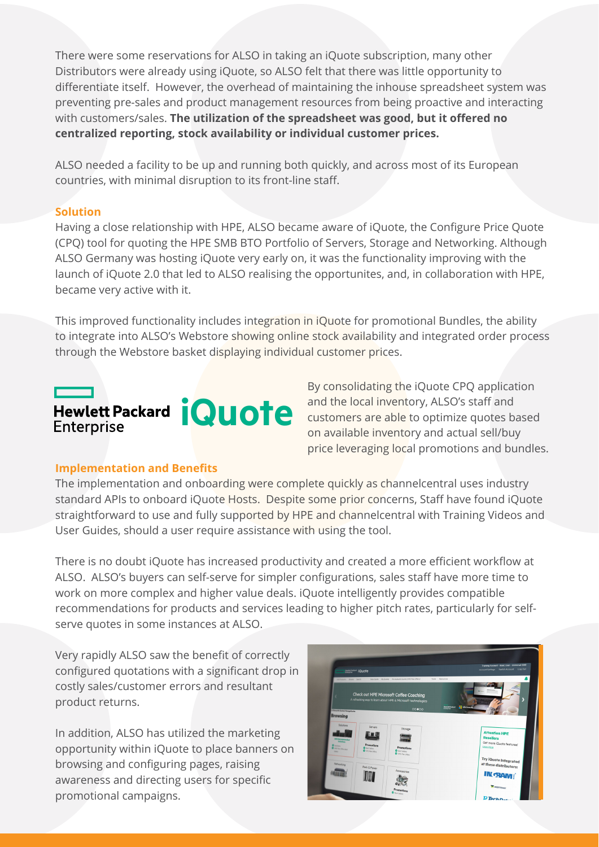There were some reservations for ALSO in taking an iQuote subscription, many other Distributors were already using iQuote, so ALSO felt that there was little opportunity to differentiate itself. However, the overhead of maintaining the inhouse spreadsheet system was preventing pre-sales and product management resources from being proactive and interacting with customers/sales. **The utilization of the spreadsheet was good, but it offered no centralized reporting, stock availability or individual customer prices.**

ALSO needed a facility to be up and running both quickly, and across most of its European countries, with minimal disruption to its front-line staff.

## **Solution**

Having a close relationship with HPE, ALSO became aware of iQuote, the Configure Price Quote (CPQ) tool for quoting the HPE SMB BTO Portfolio of Servers, Storage and Networking. Although ALSO Germany was hosting iQuote very early on, it was the functionality improving with the launch of iQuote 2.0 that led to ALSO realising the opportunites, and, in collaboration with HPE, became very active with it.

This improved functionality includes integration in iQuote for promotional Bundles, the ability to integrate into ALSO's Webstore showing online stock availability and integrated order process through the Webstore basket displaying individual customer prices.

## Hewlett Packard **iQuote Enterprise**

By consolidating the iQuote CPQ application and the local inventory, ALSO's staff and customers are able to optimize quotes based on available inventory and actual sell/buy price leveraging local promotions and bundles.

## **Implementation and Benefits**

The implementation and onboarding were complete quickly as channelcentral uses industry standard APIs to onboard iQuote Hosts. Despite some prior concerns, Staff have found iQuote straightforward to use and fully supported by HPE and channelcentral with Training Videos and User Guides, should a user require assistance with using the tool.

There is no doubt iQuote has increased productivity and created a more efficient workflow at ALSO. ALSO's buyers can self-serve for simpler configurations, sales staff have more time to work on more complex and higher value deals. iQuote intelligently provides compatible recommendations for products and services leading to higher pitch rates, particularly for selfserve quotes in some instances at ALSO.

Very rapidly ALSO saw the benefit of correctly configured quotations with a significant drop in costly sales/customer errors and resultant product returns.

In addition, ALSO has utilized the marketing opportunity within iQuote to place banners on browsing and configuring pages, raising awareness and directing users for specific promotional campaigns.